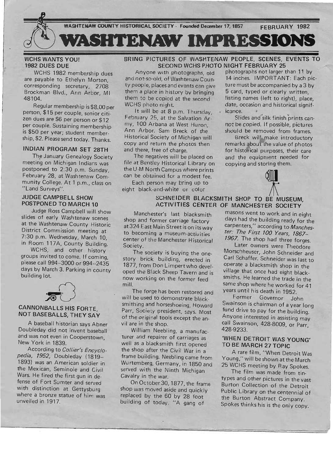

### WCHS WANTS YOU! 1982 DUES DUE

WCHS 1982 membership dues world rooz membership dues c payable to Ethely in Worton, Brosponung sculetary, 2700  $0104$ 

Regular membership is \$8.00 per person, \$15 per couple, senior citi- $\frac{1}{2}$  $\frac{1}{2}$ per couple. Sustaining membership membership membership membership membership membership membership membership  $\frac{1}{2}$ per couple. Sustaining membership<br>is \$50 per year; student membership, \$2. Please send today. Thanks.

# INDIAN PROGRAM SET 28TH

The January Genealogy Society meeting on Michigan Indians was postponed to 2:30 p.m. Sunday, February 28, at Washtenaw Com $m_{\text{max}}$  college. At 1 p.m., comannly Conege. A

## JUDGE CAMPBELL SHOW POSTPONED TO MARCH 10

Judge Ross Campbell will show slides of early Washtenaw scenes at the Washtenaw County Historic District Commission meeting at 7:30 p.m. Wednesday, March 10, in Room 117A, County Building.

WCHS, and other history groups invited to come. If coming, please call 994-3000 or 994--2435  $\frac{6000 \text{ cm}}{20000 \text{ cm}}$   $\frac{334 - 2433}{10000 \text{ cm}}$ building lot.



## CANNONBALLS HIS FORTE, NOT BASEBALLS, THEY SAY

A baseball historian says Abner Doubleday did not invent baseball and was not even in Cooperstown,  $\frac{10}{2}$  Was not even in  $\frac{1}{2}$ New York in 1839.<br>According to *Collier's Encyclo-*

*pedia,* 7952, Doubleday (1819-- 1893) was an American soldier in the Mexican, Seminole and Civil Wars. He fired the first gun in defense of Fort Sumter and served with distinction at Gettysburg not distinction at Gettyspurg  $m_{\rm H}$ unvera profize sta

### BRING PICTURES OF WASHTENAW PEOPLE, SCENES, EVENTS TO SECOND WCHS PHOTO NIGHT FEBRUARY 25

Anyone with photographs, old photographs not larger than 11 by and not-so-old, of Washtenaw Coun- 14 inches. IMPORTANT: Each picty people, places and events can give ture must be accompanied by a 3 by them a place in history by bringing 5 card, typed or clearly written, them to be copied at the second  $\frac{1}{2}$  is the compact of the right), place, WE photo night. data assembly control to right, place, WCHS photo night.<br>It will be at 8 p.m. Thursday, icance.

February 25, at the Salvation Ar-<br>Slides and silk finish prints canmy, 100 Arbana at West Huron, not be copied. If possible, pictures Ann Arbor. Sam Breck of the should be removed from frames. Historical Society of Michigan will Breck will make introductory copy and return the photos then copy and return the photos then remarks about the value of photos<br>and there, free of charge. for historical purposes, their care

The negatives will be placed on and the equipment needed for file at Bentley Historical Library on copying and storing them. the U-M North Campus where prints , to Upying and storm com is or campus where prints can be obtained for a modest fee.<br>Each person may bring up to

eight black-and-white or color

SCHNEIDER BLACKSMITH SHOP TO BE MUSEUM, ACTIVITIES CENTER OF MANCHESTER SOCIETY

Manchester's last blacksmith shop and former carriage factory at 324 East Main Street is on its way to becoming a museum-activities procenting a museum-activities Society. Society.<br>The society is buying the one-

story brick building, erected in 1877, from Don Limpertwho developen, non-bon Emiper (who develpod and brack directly ravern and is now working on the former feed<br>mill.

The forge has been restored and will be used to demonstrate blacksmithing and horseshoeing, Howard Parr, Society president, says. Mowded  $f$  the original tests in  $\frac{1}{2}$  the animal tests in  $\frac{1}{2}$ of the original tools except the an-<br>vil are in the shop.  $W = W \cdot W$ 

william iverpring, a manutacwere and repairer or carriages as on as a place shifter that opened the shop after the Civil War in a<br>frame building. Neebling came from who banding, incepting came from served with the Ninth Michigan served with the Ninth Michigan<br>Cavalry in the war.

On October 30, 1877, the frame shop was moved aside and quickly replaced by the 60 by 28 football  $b^{\text{u}}$  building of today.  $\mu_{\text{A}}$ 

masons went to work and in eight  $\frac{d}{dx}$  and the building ready for the same that  $\frac{d}{dx}$ carpenters," according to *Manchester: The First 700 Years, 7867--* 1967. The shop had three forges.

Later owners were Theodore Morschheuser, John Schneider and Carl Schaffer. Schneider was last to operate a blacksmith show is last to porate a blacksmith slipp in the mage and once had eight black- $\frac{1}{2}$  shop where he worked for  $\frac{1}{2}$  and  $\frac{1}{2}$ same shop where he worked for 41<br>years until his death in 1952.

Former Governor John Suite Governor John fund drive to pay for the building. fund drive to pay for the building.<br>Anyone interested in assisting may all Swainson, 428-8009, or Parry Parry, and Parry Parry, and Parry Parry, and Parry Parry, and Parry Parry, and  $28.933$ 

# 'WHEN DETROIT WAS YOUNG' TO BE MARCH 27 TOPIC

A rare film, "When Detroit Was Young," will be shown at the March 25 WCHS meeting by Ray Spokes.

The film was made from tinthe thin was made won't the bes and other pictures in the vast Burton Collection of the Detroit<br>Public Library on the centennial of the Burton Abstract Company. Spokes thinks his is the only copy.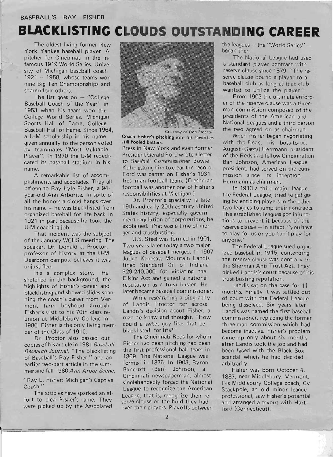### **BASEBALL'S RAY FISHER**

# **BLACKLISTING CLOUDS OUTSTANDING CAREER**

The oldest living former New York Yankee baseball player. A pitcher for Cincinnati in the infamous 1919 World Series. University of Michigan baseball coach 1921 -- 1958, whose teams won nine Big Ten Championships and shared four others.

The list goes on  $-$  "College Baseball Coach of the Year" in 1953 when his team won the College World Series. Michigan Sports Hall of Fame, College Baseball Hall of Fame. Since 1964, a U-M scholarship in his name given annually to the person voted by teammates "Most Valuable Player". In 1970 the U-M rededicated' its baseball stadium in his name.

A remarkable list of accomplishments and accolades. They all belong to Ray Lyle Fisher, a 94 year-old Ann Arborite. In spite of all the honors a cloud hangs over his name - he was blacklisted from organized baseball for life back in 1921 in part because he took the U-M coaching job.

That incident was the subject of the January WCHS meeting. The speaker, Dr. Donald J. Proctor, professor of history at the U-M Dearborn campus, believes it was unjustified.

It's a complex story. He sketched in the background, the highlights of Fisher's career and blacklisting and showed slides spanning the coach's career from Vermont farm boyhood through Fisher's visit to his 70th class reunion at Middlebury College in 1980. Fisher is the only living member of the Class of 1910.

Dr. Proctor also passed out copies of his article in 1981 *Baseball Research Journal,* "The Blacklisting of Baseball's Ray Fisher," and an earlier two-part article in the summer and fall 1980 *Ann Arbor Scene,* 

"Ray L. Fisher: Michigan's Captive Coach."

The articles have sparked an ef fort to clear Fisher's name. They were picked up by the Associated

I



Courtesy of Don Proctor Coach Fisher's pitching into his seventies still fooled batters.

Press in New York and even former President Gerald Ford wrote a letter to Baseball Commissioner Bowie Kuhn asking him to clear the record. Ford was center on Fisher's 1931 freshman football team. (Freshman football was another one of Fisher's .responsibilities at Michigan.)

Dr. Proctor's specialty is late 19th and early 20th century United States history, especially government regulation of corporations, he explained. That was a time of merger and trustbusting.

U.S. Steel was formed in 1901. Two years later today's two major leagues of baseball merged. In 1907 Judge Kenesaw Mountain Landis fined Standard Oil " of Indiana \$29,240,000 for violating the Elkins Act and gained a national reputation as a trust buster. He later became baseball commissioner.

While researching a biography of Landis, Proctor ran across Landis's decision about Fisher, a man he knew and thought, "How could a sweet guy like that be blacklisted for life?"

The Cincinnati Reds for whom Fisher had been pitching had been the first professional ball team in 1869. The National League was formed in 1876. In 1903, Byron Bancroft (Ban) Johnson, a Cincinnati newspaperman, almost singlehandedly forced the National League to recognize the American League, that is, recognize their re serve clause or the hold they had over their players. Playoffs betweer, the leagues - the "World Series" began then.

The National League had used a standard player contract with reserve clause since 1879. "The reserve clause bound a player to a baseball club as long as that club wanted to utilize the player."

From 1903 the ultimate enforcer of the reserve clause was a threeman commission composed of the presidents of the American and National Leagues and a th ird person the two agreed on as chairman.

When Fisher began negotiating with the Reds, his boss-to-be, August (Garry) Herrmann, president of the Reds and fellow Cincinnatian Ban Johnson, American League president, had served on the commission since its inception, Herrmann as chairman.

In 1913 a third major league, the Federal League, tried to get going by enticing players in the other two leagues to jump their contracts. The established leagues got injunctions to prevent it because of the reserve clause - in effect, "you have to play for us or you can't play for anyone. "

The Federal League sued organized baseball in 1915, contending the reserve clause was contrary to the Sherman Anti-Trust Act. They picked Landis's court because of his trust-busting reputation.

Landis sat on the case for 11 months. Finally it was settled out of court with the Federal League being dissolved. Six years later Landis was named the first baseball commissioner, replacing the former three-man commission which had become inactive. Fisher's problem came up only about six months after Landis took the job and had been faced with the Black Sox scandal which he had decided arbitrarily.

Fisher was born October 4, 1887, near Middlebury, Vermont. His Middlebury College coach, Cy Stackpole, an old minor league professional, saw Fisher's potential and arranged a tryout with Hartford (Connecticut).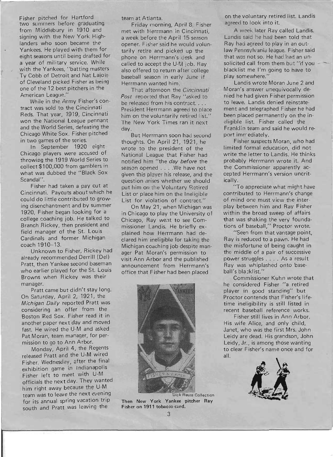Fisher pitched for Hartford two summers before graduating from Middlebury in 1910 and signing with the New York Highlanders who soon became the Yankees. He played with them for eight seasons until being drafted for a year of military service. While with the Yankees, "batting masters Ty Cobb of Detroit and Nat Lajoie of Cleveland picked Fisher as being one of the 12 best pitchers in the American League."

While in the Army Fisher's contract was sold to the Cincinnati Reds. That year, 1919, Cincinnati won the National League pennant and the World Series, defeating the Chicago White Sox. Fisher pitched in two games of the series.

In September 1920 eight Ch icago players were accused of throwing the 1919 World Series to collect \$100,000 from gamblers in what was dubbed the "Black Sox Scandal".

Fisher had taken a pay cut at Cincinnati. Paycuts about which he could do little contributed to growing disenchantment and by summer 1920, Fisher began looking for a college coaching job. He talked to Branch Rickey, then president and field manager of the St. Louis Cardinals and former Michigan coach 1910--13.

Unknown to Fisher, Rickey had already recommended Derrill (Del) Pratt, then Yankee second baseman who earlier played for the St. Louis Browns when Rickey was their manager.

Pratt came but didn't stay long. On Saturday, April 2, 1921, the Michigan Daily reported Pratt was considering an offer from the Boston Red Sox. Fisher read it in another paper nex t day and moved fast. He wired the U-M and asked Pat Moran, team manager, for permission to go to Ann Arbor.

Monday, April 4, the Regents released Pratt and the U-M wired Fisher. Wednesday, after the final exhibition game in Indianapolis Fisher left to meet with U-M officials the nex t day. They wanted him right away because the U-M team was to leave the next evening for its annual spring vacation trip south and Pratt was leaving the

team at Atlanta.

Friday morning, April 8, Fisher met with Herrmann in Cincinnati, a week before the April 15 season opener. Fisher said he would voluntarily retire and picked up the phone on Herrmann's desk and called to accept the U-M job. Ray also offered to return after college baseball season in early June if Herrmann wanted him.

That afternoon the Cincinnati *Post* reported that Ray "asked to be released from his contract.... President Herrmann agreed to place him on the voluntarily retired list." The New York Times ran it next day.

But Herrmann soon had second thoughts. On April 21, 1921, he wrote to the president of the National League that Fisher had notified him "the day before the season opened .. . . We have not given this player his release, and the question arises whether we should put him on the Voluntary Retired List or place him on the Ineligible List for violation of contract."

On May 21, when Michigan was in Chicago to play the University of Chicago, Ray went to see Commissioner Landis. He briefly explained how Herrmann had declared him ineligible for taking the Michigan coaching job despite manager Pat Moran's permission to visit Ann Arbor and the published announcement from Herrmann's office that Fisher had been placed



Then New York Yankee pitcher Ray Fisher on **1911** tobacco card.

on the voluntary retired list. Landis agreed to look into it.

A week iater Ray called Landis. Landis said he had been told that Ray had agreed to play in an outlaw Pennsylvania league. Fisher said that was not so. He had had an unsolicited call from them but "if you blacklist me I'm going to have to play somewhere."

Landis wrote Moran June 2 and Moran's answer unequivocally denied he had given Fisher permission to leave. Landis denied reinstatement and telegraphed Fisher he had been placed permanently on the ineligible list. Fisher called the Franklin team and said he would report immediately.

Fisher suspects Moran, who had lim ited formal education, did not write the letter to Landis. He thinks probably Herrmann wrote it. And the Commissioner apparently accepted Herrmann's version uncritically.

"To appreciate what might have contributed to Herrmann's change of mind one must view the interplay between him and Ray Fisher within the broad sweep of affairs that was shaking the very foundations of baseball," Proctor wrote.

"Seen from that vantage point, Ray is reduced to a pawn. He had the misfortune of being caught in the middle of a pair of successive power struggles . . .. As a result Ray was whiplashed onto baseball's blacklist."

Commissioner Kuhn wrote that he considered Fisher "a retired player in good standing" but Proctor contends that Fisher's lifetime ineligibility is still listed in recent baseball reference works.

Fisher still lives in Ann Arbor. His wife Alice, and only child, Janet, who was the first Mrs. John Leidy are dead. His grandson, John Leidy, Jr., is among those wanting to clear Fisher's name once and for all.